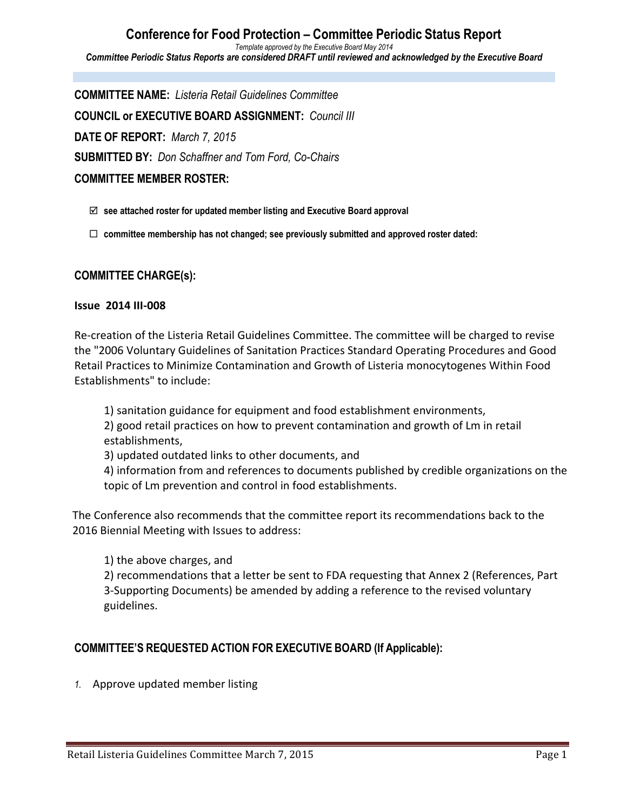**Conference for Food Protection – Committee Periodic Status Report** *Template approved by the Executive Board May 2014 Committee Periodic Status Reports are considered DRAFT until reviewed and acknowledged by the Executive Board*

**COMMITTEE NAME:** *Listeria Retail Guidelines Committee* **COUNCIL or EXECUTIVE BOARD ASSIGNMENT:** *Council III* **DATE OF REPORT:** *March 7, 2015* **SUBMITTED BY:** *Don Schaffner and Tom Ford, Co-Chairs* **COMMITTEE MEMBER ROSTER:**

- þ **see attached roster for updated member listing and Executive Board approval**
- ¨ **committee membership has not changed; see previously submitted and approved roster dated:**

### **COMMITTEE CHARGE(s):**

### **Issue 2014 III-008**

Re-creation of the Listeria Retail Guidelines Committee. The committee will be charged to revise the "2006 Voluntary Guidelines of Sanitation Practices Standard Operating Procedures and Good Retail Practices to Minimize Contamination and Growth of Listeria monocytogenes Within Food Establishments" to include:

1) sanitation guidance for equipment and food establishment environments, 2) good retail practices on how to prevent contamination and growth of Lm in retail

establishments,

3) updated outdated links to other documents, and

4) information from and references to documents published by credible organizations on the topic of Lm prevention and control in food establishments.

The Conference also recommends that the committee report its recommendations back to the 2016 Biennial Meeting with Issues to address:

1) the above charges, and

2) recommendations that a letter be sent to FDA requesting that Annex 2 (References, Part 3-Supporting Documents) be amended by adding a reference to the revised voluntary guidelines.

## **COMMITTEE'S REQUESTED ACTION FOR EXECUTIVE BOARD (If Applicable):**

1. Approve updated member listing